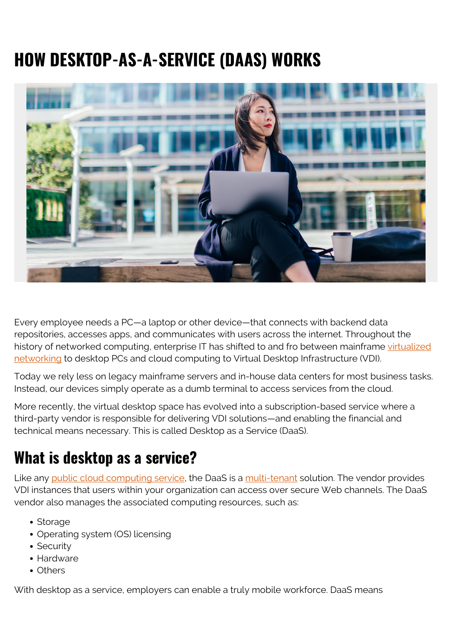# **HOW DESKTOP-AS-A-SERVICE (DAAS) WORKS**



Every employee needs a PC—a laptop or other device—that connects with backend data repositories, accesses apps, and communicates with users across the internet. Throughout the history of networked computing, enterprise IT has shifted to and fro between mainframe [virtualized](https://blogs.bmc.com/blogs/it-virtualization/) [networking](https://blogs.bmc.com/blogs/it-virtualization/) to desktop PCs and cloud computing to Virtual Desktop Infrastructure (VDI).

Today we rely less on legacy mainframe servers and in-house data centers for most business tasks. Instead, our devices simply operate as a dumb terminal to access services from the cloud.

More recently, the virtual desktop space has evolved into a subscription-based service where a third-party vendor is responsible for delivering VDI solutions—and enabling the financial and technical means necessary. This is called Desktop as a Service (DaaS).

## **What is desktop as a service?**

Like any [public cloud computing service](https://blogs.bmc.com/blogs/public-private-hybrid-cloud/), the DaaS is a [multi-tenant](https://blogs.bmc.com/blogs/single-tenant-vs-multi-tenant/) solution. The vendor provides VDI instances that users within your organization can access over secure Web channels. The DaaS vendor also manages the associated computing resources, such as:

- Storage
- Operating system (OS) licensing
- Security
- Hardware
- Others

With desktop as a service, employers can enable a truly mobile workforce. DaaS means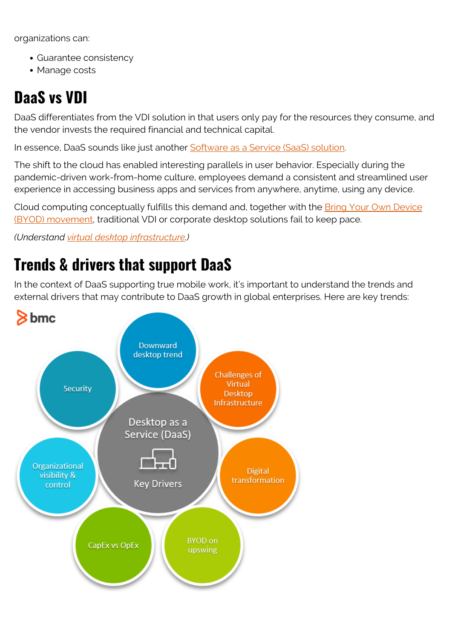organizations can:

- Guarantee consistency
- Manage costs

# **DaaS vs VDI**

DaaS differentiates from the VDI solution in that users only pay for the resources they consume, and the vendor invests the required financial and technical capital.

In essence, DaaS sounds like just another [Software as a Service \(SaaS\) solution](https://blogs.bmc.com/blogs/saas-vs-paas-vs-iaas-whats-the-difference-and-how-to-choose/).

The shift to the cloud has enabled interesting parallels in user behavior. Especially during the pandemic-driven work-from-home culture, employees demand a consistent and streamlined user experience in accessing business apps and services from anywhere, anytime, using any device.

Cloud computing conceptually fulfills this demand and, together with the [Bring Your Own Device](https://blogs.bmc.com/blogs/byod-policies/) [\(BYOD\) movement](https://blogs.bmc.com/blogs/byod-policies/), traditional VDI or corporate desktop solutions fail to keep pace.

*(Understand [virtual desktop infrastructure.](https://blogs.bmc.com/blogs/vdi-virtual-desktop-infrastructure/))*

# **Trends & drivers that support DaaS**

In the context of DaaS supporting true mobile work, it's important to understand the trends and external drivers that may contribute to DaaS growth in global enterprises. Here are key trends:

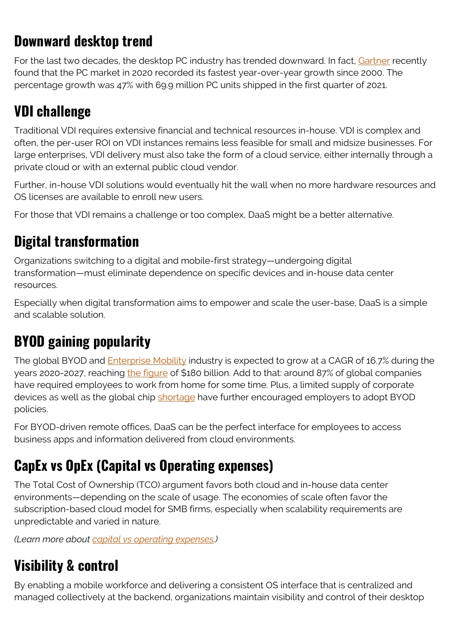#### **Downward desktop trend**

For the last two decades, the desktop PC industry has trended downward. In fact, [Gartner](https://www.gartner.com/en/newsroom/press-releases/2021-04-12-gartner-says-worldwide-pc-shipments-grew-32-percent-in-first-quarter-of-2021) recently found that the PC market in 2020 recorded its fastest year-over-year growth since 2000. The percentage growth was 47% with 69.9 million PC units shipped in the first quarter of 2021.

## **VDI challenge**

Traditional VDI requires extensive financial and technical resources in-house. VDI is complex and often, the per-user ROI on VDI instances remains less feasible for small and midsize businesses. For large enterprises, VDI delivery must also take the form of a cloud service, either internally through a private cloud or with an external public cloud vendor.

Further, in-house VDI solutions would eventually hit the wall when no more hardware resources and OS licenses are available to enroll new users.

For those that VDI remains a challenge or too complex, DaaS might be a better alternative.

#### **Digital transformation**

Organizations switching to a digital and mobile-first strategy—undergoing digital transformation—must eliminate dependence on specific devices and in-house data center resources.

Especially when digital transformation aims to empower and scale the user-base, DaaS is a simple and scalable solution.

## **BYOD gaining popularity**

The global BYOD and **Enterprise Mobility** industry is expected to grow at a CAGR of 16.7% during the years 2020-2027, reaching [the figure](https://www.prnewswire.com/news-releases/global-byod-and-enterprise-mobility-market-2021-2027-logistics-travel--transportation-sectors---high-potential-verticals-301246467.html) of \$180 billion. Add to that: around 87% of global companies have required employees to work from home for some time. Plus, a limited supply of corporate devices as well as the global chip [shortage](https://www.zdnet.com/article/global-chip-shortages-supply-chain-woes-leading-to-tech-infrastructure-inflation/) have further encouraged employers to adopt BYOD policies.

For BYOD-driven remote offices, DaaS can be the perfect interface for employees to access business apps and information delivered from cloud environments.

### **CapEx vs OpEx (Capital vs Operating expenses)**

The Total Cost of Ownership (TCO) argument favors both cloud and in-house data center environments—depending on the scale of usage. The economies of scale often favor the subscription-based cloud model for SMB firms, especially when scalability requirements are unpredictable and varied in nature.

*(Learn more about [capital vs operating expenses.](https://blogs.bmc.com/blogs/capex-vs-opex/))*

### **Visibility & control**

By enabling a mobile workforce and delivering a consistent OS interface that is centralized and managed collectively at the backend, organizations maintain visibility and control of their desktop